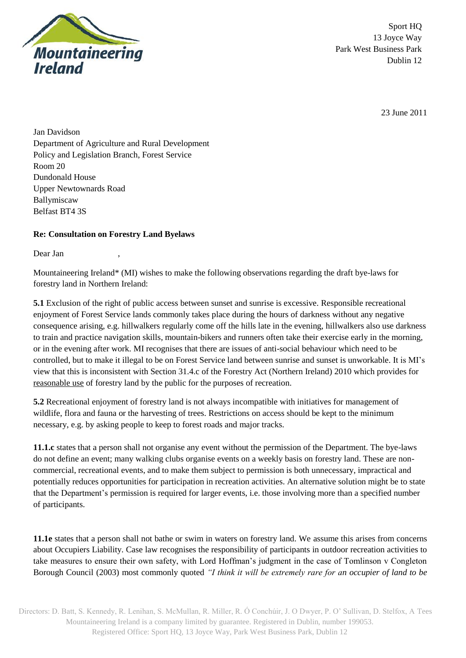

Sport HQ 13 Joyce Way Park West Business Park Dublin 12

23 June 2011

Jan Davidson Department of Agriculture and Rural Development Policy and Legislation Branch, Forest Service Room 20 Dundonald House Upper Newtownards Road Ballymiscaw Belfast BT4 3S

## **Re: Consultation on Forestry Land Byelaws**

Dear Jan

Mountaineering Ireland\* (MI) wishes to make the following observations regarding the draft bye-laws for forestry land in Northern Ireland:

**5.1** Exclusion of the right of public access between sunset and sunrise is excessive. Responsible recreational enjoyment of Forest Service lands commonly takes place during the hours of darkness without any negative consequence arising, e.g. hillwalkers regularly come off the hills late in the evening, hillwalkers also use darkness to train and practice navigation skills, mountain-bikers and runners often take their exercise early in the morning, or in the evening after work. MI recognises that there are issues of anti-social behaviour which need to be controlled, but to make it illegal to be on Forest Service land between sunrise and sunset is unworkable. It is MI's view that this is inconsistent with Section 31.4.c of the Forestry Act (Northern Ireland) 2010 which provides for reasonable use of forestry land by the public for the purposes of recreation.

**5.2** Recreational enjoyment of forestry land is not always incompatible with initiatives for management of wildlife, flora and fauna or the harvesting of trees. Restrictions on access should be kept to the minimum necessary, e.g. by asking people to keep to forest roads and major tracks.

**11.1.c** states that a person shall not organise any event without the permission of the Department. The bye-laws do not define an event; many walking clubs organise events on a weekly basis on forestry land. These are noncommercial, recreational events, and to make them subject to permission is both unnecessary, impractical and potentially reduces opportunities for participation in recreation activities. An alternative solution might be to state that the Department's permission is required for larger events, i.e. those involving more than a specified number of participants.

**11.1e** states that a person shall not bathe or swim in waters on forestry land. We assume this arises from concerns about Occupiers Liability. Case law recognises the responsibility of participants in outdoor recreation activities to take measures to ensure their own safety, with Lord Hoffman's judgment in the case of Tomlinson v Congleton Borough Council (2003) most commonly quoted *"I think it will be extremely rare for an occupier of land to be* 

Directors: D. Batt, S. Kennedy, R. Lenihan, S. McMullan, R. Miller, R. Ó Conchúir, J. O Dwyer, P. O' Sullivan, D. Stelfox, A Tees Mountaineering Ireland is a company limited by guarantee. Registered in Dublin, number 199053. Registered Office: Sport HQ, 13 Joyce Way, Park West Business Park, Dublin 12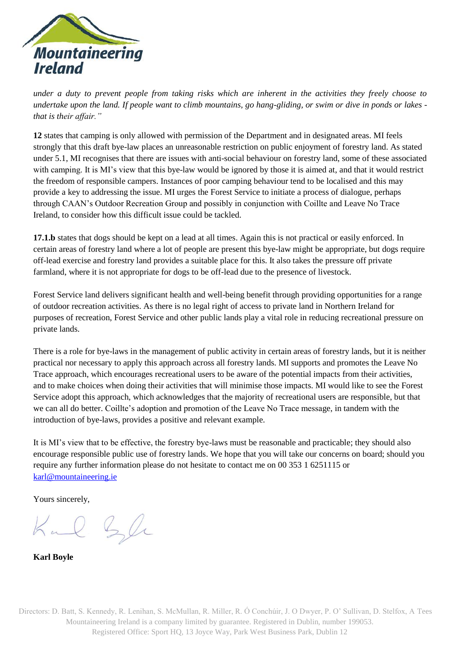

*under a duty to prevent people from taking risks which are inherent in the activities they freely choose to undertake upon the land. If people want to climb mountains, go hang-gliding, or swim or dive in ponds or lakes that is their affair."*

**12** states that camping is only allowed with permission of the Department and in designated areas. MI feels strongly that this draft bye-law places an unreasonable restriction on public enjoyment of forestry land. As stated under 5.1, MI recognises that there are issues with anti-social behaviour on forestry land, some of these associated with camping. It is MI's view that this bye-law would be ignored by those it is aimed at, and that it would restrict the freedom of responsible campers. Instances of poor camping behaviour tend to be localised and this may provide a key to addressing the issue. MI urges the Forest Service to initiate a process of dialogue, perhaps through CAAN's Outdoor Recreation Group and possibly in conjunction with Coillte and Leave No Trace Ireland, to consider how this difficult issue could be tackled.

**17.1.b** states that dogs should be kept on a lead at all times. Again this is not practical or easily enforced. In certain areas of forestry land where a lot of people are present this bye-law might be appropriate, but dogs require off-lead exercise and forestry land provides a suitable place for this. It also takes the pressure off private farmland, where it is not appropriate for dogs to be off-lead due to the presence of livestock.

Forest Service land delivers significant health and well-being benefit through providing opportunities for a range of outdoor recreation activities. As there is no legal right of access to private land in Northern Ireland for purposes of recreation, Forest Service and other public lands play a vital role in reducing recreational pressure on private lands.

There is a role for bye-laws in the management of public activity in certain areas of forestry lands, but it is neither practical nor necessary to apply this approach across all forestry lands. MI supports and promotes the Leave No Trace approach, which encourages recreational users to be aware of the potential impacts from their activities, and to make choices when doing their activities that will minimise those impacts. MI would like to see the Forest Service adopt this approach, which acknowledges that the majority of recreational users are responsible, but that we can all do better. Coillte's adoption and promotion of the Leave No Trace message, in tandem with the introduction of bye-laws, provides a positive and relevant example.

It is MI's view that to be effective, the forestry bye-laws must be reasonable and practicable; they should also encourage responsible public use of forestry lands. We hope that you will take our concerns on board; should you require any further information please do not hesitate to contact me on 00 353 1 6251115 or [karl@mountaineering.ie](mailto:karl@mountaineering.ie)

Yours sincerely,

Kal Sle

**Karl Boyle**

Directors: D. Batt, S. Kennedy, R. Lenihan, S. McMullan, R. Miller, R. Ó Conchúir, J. O Dwyer, P. O' Sullivan, D. Stelfox, A Tees Mountaineering Ireland is a company limited by guarantee. Registered in Dublin, number 199053. Registered Office: Sport HQ, 13 Joyce Way, Park West Business Park, Dublin 12